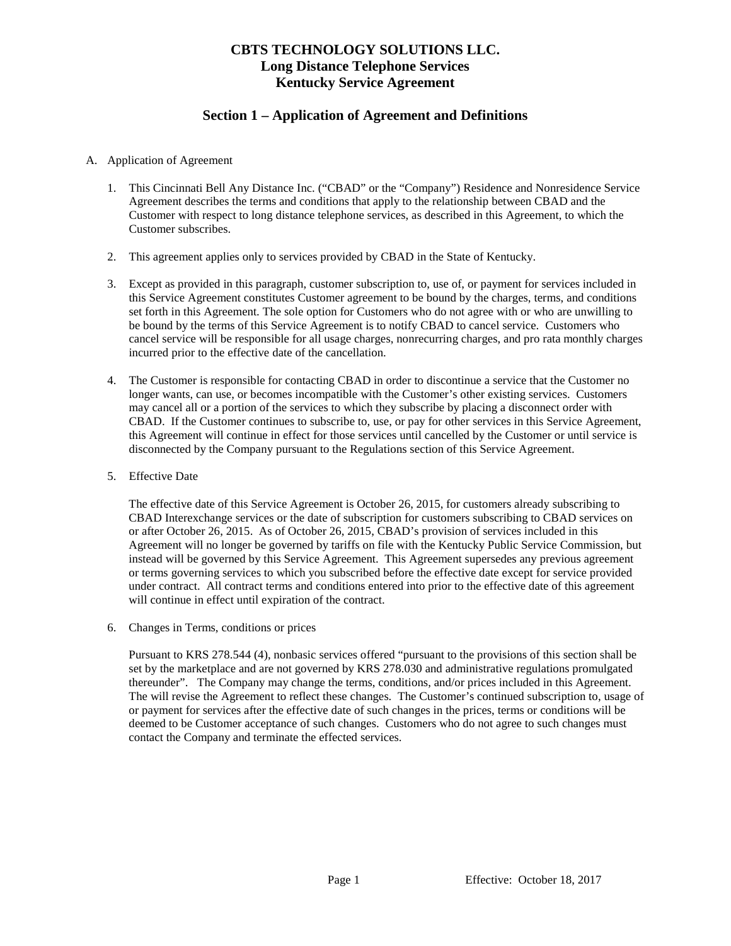# **CBTS TECHNOLOGY SOLUTIONS LLC. Long Distance Telephone Services Kentucky Service Agreement**

# **Section 1 – Application of Agreement and Definitions**

#### A. Application of Agreement

- 1. This Cincinnati Bell Any Distance Inc. ("CBAD" or the "Company") Residence and Nonresidence Service Agreement describes the terms and conditions that apply to the relationship between CBAD and the Customer with respect to long distance telephone services, as described in this Agreement, to which the Customer subscribes.
- 2. This agreement applies only to services provided by CBAD in the State of Kentucky.
- 3. Except as provided in this paragraph, customer subscription to, use of, or payment for services included in this Service Agreement constitutes Customer agreement to be bound by the charges, terms, and conditions set forth in this Agreement. The sole option for Customers who do not agree with or who are unwilling to be bound by the terms of this Service Agreement is to notify CBAD to cancel service. Customers who cancel service will be responsible for all usage charges, nonrecurring charges, and pro rata monthly charges incurred prior to the effective date of the cancellation.
- 4. The Customer is responsible for contacting CBAD in order to discontinue a service that the Customer no longer wants, can use, or becomes incompatible with the Customer's other existing services. Customers may cancel all or a portion of the services to which they subscribe by placing a disconnect order with CBAD. If the Customer continues to subscribe to, use, or pay for other services in this Service Agreement, this Agreement will continue in effect for those services until cancelled by the Customer or until service is disconnected by the Company pursuant to the Regulations section of this Service Agreement.
- 5. Effective Date

The effective date of this Service Agreement is October 26, 2015, for customers already subscribing to CBAD Interexchange services or the date of subscription for customers subscribing to CBAD services on or after October 26, 2015. As of October 26, 2015, CBAD's provision of services included in this Agreement will no longer be governed by tariffs on file with the Kentucky Public Service Commission, but instead will be governed by this Service Agreement. This Agreement supersedes any previous agreement or terms governing services to which you subscribed before the effective date except for service provided under contract. All contract terms and conditions entered into prior to the effective date of this agreement will continue in effect until expiration of the contract.

6. Changes in Terms, conditions or prices

Pursuant to KRS 278.544 (4), nonbasic services offered "pursuant to the provisions of this section shall be set by the marketplace and are not governed by KRS 278.030 and administrative regulations promulgated thereunder". The Company may change the terms, conditions, and/or prices included in this Agreement. The will revise the Agreement to reflect these changes. The Customer's continued subscription to, usage of or payment for services after the effective date of such changes in the prices, terms or conditions will be deemed to be Customer acceptance of such changes. Customers who do not agree to such changes must contact the Company and terminate the effected services.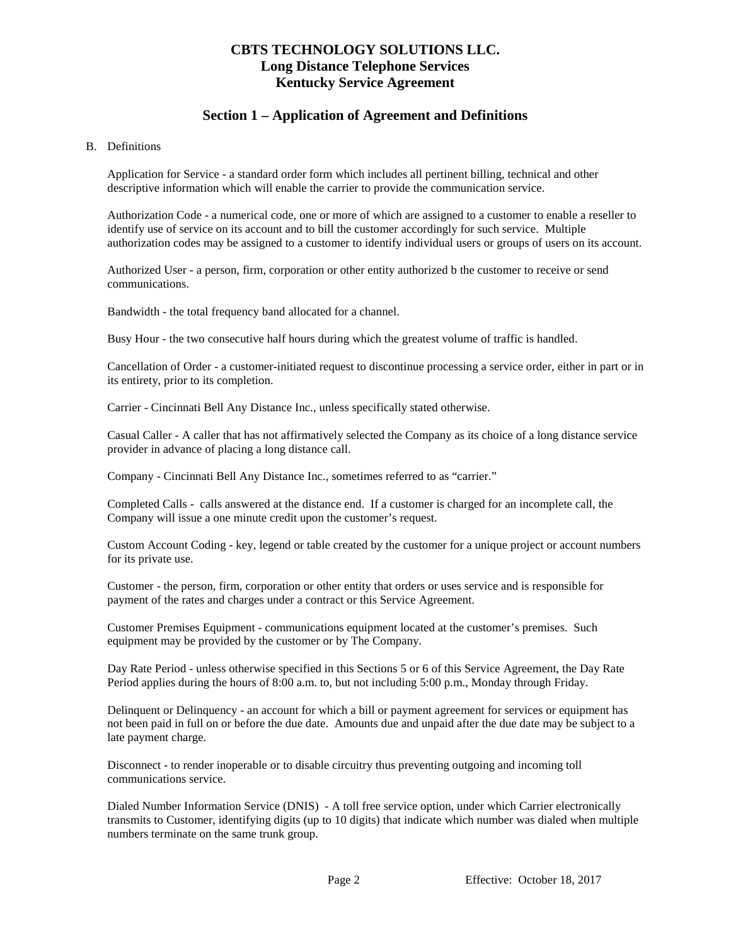## **CBTS TECHNOLOGY SOLUTIONS LLC. Long Distance Telephone Services Kentucky Service Agreement**

# **Section 1 – Application of Agreement and Definitions**

#### B. Definitions

Application for Service - a standard order form which includes all pertinent billing, technical and other descriptive information which will enable the carrier to provide the communication service.

Authorization Code - a numerical code, one or more of which are assigned to a customer to enable a reseller to identify use of service on its account and to bill the customer accordingly for such service. Multiple authorization codes may be assigned to a customer to identify individual users or groups of users on its account.

Authorized User - a person, firm, corporation or other entity authorized b the customer to receive or send communications.

Bandwidth - the total frequency band allocated for a channel.

Busy Hour - the two consecutive half hours during which the greatest volume of traffic is handled.

Cancellation of Order - a customer-initiated request to discontinue processing a service order, either in part or in its entirety, prior to its completion.

Carrier - Cincinnati Bell Any Distance Inc., unless specifically stated otherwise.

Casual Caller - A caller that has not affirmatively selected the Company as its choice of a long distance service provider in advance of placing a long distance call.

Company - Cincinnati Bell Any Distance Inc., sometimes referred to as "carrier."

Completed Calls - calls answered at the distance end. If a customer is charged for an incomplete call, the Company will issue a one minute credit upon the customer's request.

Custom Account Coding - key, legend or table created by the customer for a unique project or account numbers for its private use.

Customer - the person, firm, corporation or other entity that orders or uses service and is responsible for payment of the rates and charges under a contract or this Service Agreement.

Customer Premises Equipment - communications equipment located at the customer's premises. Such equipment may be provided by the customer or by The Company.

Day Rate Period - unless otherwise specified in this Sections 5 or 6 of this Service Agreement, the Day Rate Period applies during the hours of 8:00 a.m. to, but not including 5:00 p.m., Monday through Friday.

Delinquent or Delinquency - an account for which a bill or payment agreement for services or equipment has not been paid in full on or before the due date. Amounts due and unpaid after the due date may be subject to a late payment charge.

Disconnect - to render inoperable or to disable circuitry thus preventing outgoing and incoming toll communications service.

Dialed Number Information Service (DNIS) - A toll free service option, under which Carrier electronically transmits to Customer, identifying digits (up to 10 digits) that indicate which number was dialed when multiple numbers terminate on the same trunk group.